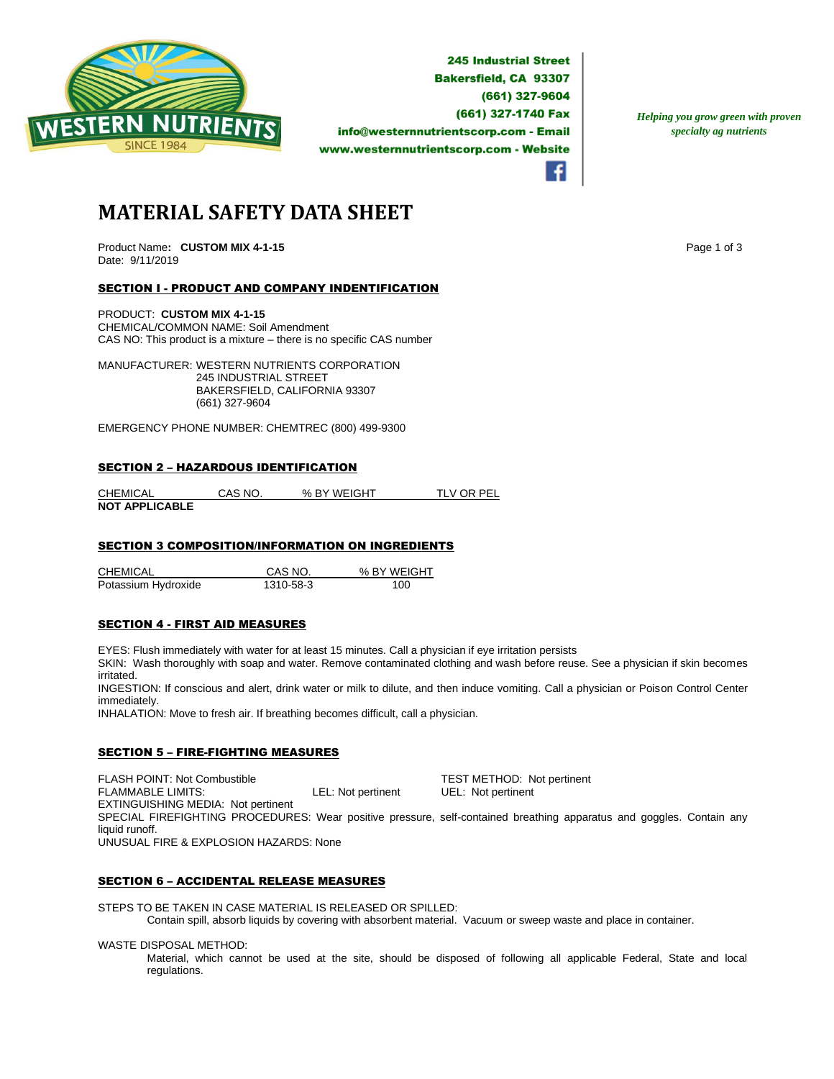

**245 Industrial Street Bakersfield, CA 93307** (661) 327-9604 (661) 327-1740 Fax info@westernnutrientscorp.com - Email www.westernnutrientscorp.com - Website

*Helping you grow green with proven specialty ag nutrients*

**MATERIAL SAFETY DATA SHEET**

Product Name: CUSTOM MIX 4-1-15 **Page 1 of 3** Page 1 of 3 Date: 9/11/2019

# SECTION I - PRODUCT AND COMPANY INDENTIFICATION

PRODUCT: **CUSTOM MIX 4-1-15** CHEMICAL/COMMON NAME: Soil Amendment CAS NO: This product is a mixture – there is no specific CAS number

MANUFACTURER: WESTERN NUTRIENTS CORPORATION 245 INDUSTRIAL STREET BAKERSFIELD, CALIFORNIA 93307 (661) 327-9604

EMERGENCY PHONE NUMBER: CHEMTREC (800) 499-9300

#### SECTION 2 – HAZARDOUS IDENTIFICATION

| <b>CHEMICAL</b>       | CAS NO. | % BY WEIGHT | TLV OR PEL |
|-----------------------|---------|-------------|------------|
| <b>NOT APPLICABLE</b> |         |             |            |

### SECTION 3 COMPOSITION/INFORMATION ON INGREDIENTS

CHEMICAL CAS NO. % BY WEIGHT Potassium Hydroxide 1310-58-3 100

#### SECTION 4 - FIRST AID MEASURES

EYES: Flush immediately with water for at least 15 minutes. Call a physician if eye irritation persists

SKIN: Wash thoroughly with soap and water. Remove contaminated clothing and wash before reuse. See a physician if skin becomes irritated.

INGESTION: If conscious and alert, drink water or milk to dilute, and then induce vomiting. Call a physician or Poison Control Center immediately.

INHALATION: Move to fresh air. If breathing becomes difficult, call a physician.

# SECTION 5 – FIRE-FIGHTING MEASURES

FLASH POINT: Not Combustible TEST METHOD: Not pertinent FLAMMABLE LIMITS: LEL: Not pertinent UEL: Not pertinent EXTINGUISHING MEDIA: Not pertinent SPECIAL FIREFIGHTING PROCEDURES: Wear positive pressure, self-contained breathing apparatus and goggles. Contain any liquid runoff. UNUSUAL FIRE & EXPLOSION HAZARDS: None

# SECTION 6 – ACCIDENTAL RELEASE MEASURES

STEPS TO BE TAKEN IN CASE MATERIAL IS RELEASED OR SPILLED:

Contain spill, absorb liquids by covering with absorbent material. Vacuum or sweep waste and place in container.

WASTE DISPOSAL METHOD:

Material, which cannot be used at the site, should be disposed of following all applicable Federal, State and local regulations.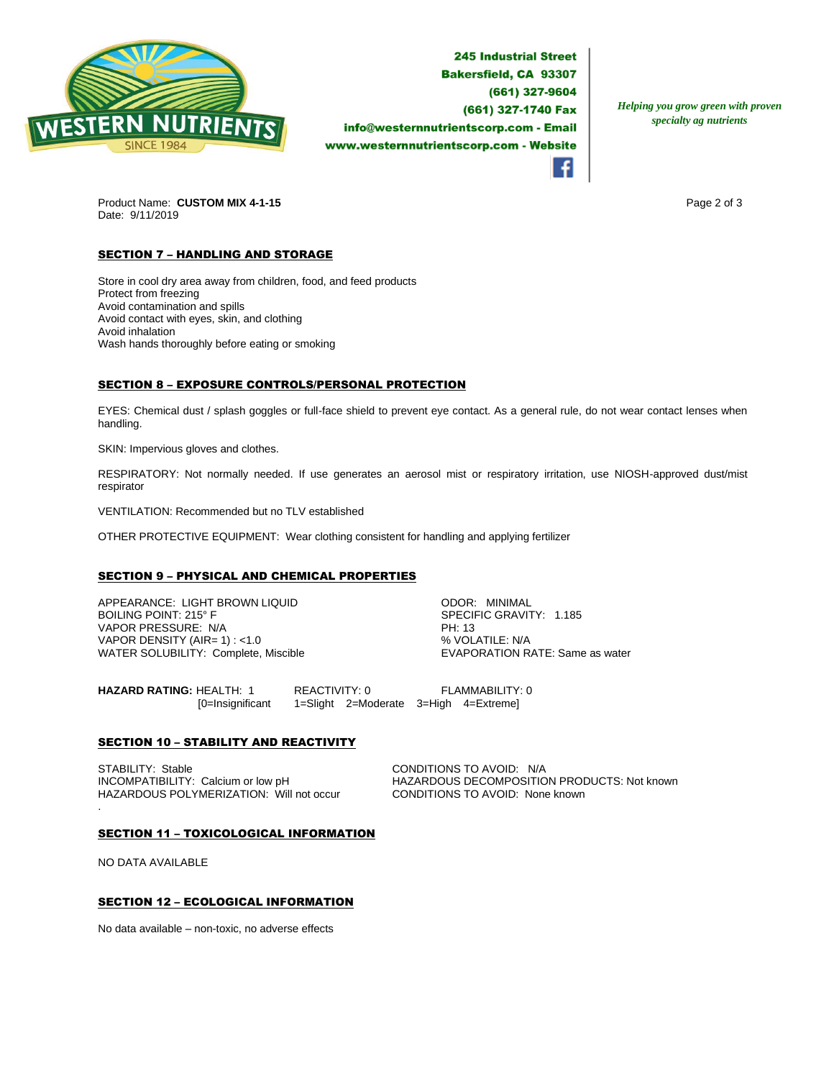

**245 Industrial Street Bakersfield, CA 93307** (661) 327-9604 (661) 327-1740 Fax info@westernnutrientscorp.com - Email www.westernnutrientscorp.com - Website

*Helping you grow green with proven specialty ag nutrients*

Product Name: **CUSTOM MIX 4-1-15 Page 2 of 3 Page 2 of 3** Date: 9/11/2019

# **SECTION 7 - HANDLING AND STORAGE**

Store in cool dry area away from children, food, and feed products Protect from freezing Avoid contamination and spills Avoid contact with eyes, skin, and clothing Avoid inhalation Wash hands thoroughly before eating or smoking

# SECTION 8 – EXPOSURE CONTROLS/PERSONAL PROTECTION

EYES: Chemical dust / splash goggles or full-face shield to prevent eye contact. As a general rule, do not wear contact lenses when handling.

SKIN: Impervious gloves and clothes.

RESPIRATORY: Not normally needed. If use generates an aerosol mist or respiratory irritation, use NIOSH-approved dust/mist respirator

VENTILATION: Recommended but no TLV established

OTHER PROTECTIVE EQUIPMENT: Wear clothing consistent for handling and applying fertilizer

# SECTION 9 – PHYSICAL AND CHEMICAL PROPERTIES

APPEARANCE: LIGHT BROWN LIQUID ODOR: MINIMAL VAPOR PRESSURE: N/A PH: 13 VAPOR DENSITY (AIR=  $1$ ) : <1.0 WATER SOLUBILITY: Complete, Miscible **EXAPORATION RATE:** Same as water

SPECIFIC GRAVITY: 1.185

**HAZARD RATING:** HEALTH: 1 REACTIVITY: 0 FLAMMABILITY: 0 [0=Insignificant 1=Slight 2=Moderate 3=High 4=Extreme]

# **SECTION 10 - STABILITY AND REACTIVITY**

STABILITY: Stable Calcium or low pH CONDITIONS TO AVOID: N/A<br>INCOMPATIBILITY: Calcium or low pH HAZARDOUS DECOMPOSITIC HAZARDOUS POLYMERIZATION: Will not occur CONDITIONS TO AVOID: None known

HAZARDOUS DECOMPOSITION PRODUCTS: Not known

#### SECTION 11 – TOXICOLOGICAL INFORMATION

NO DATA AVAILABLE

.

# SECTION 12 – ECOLOGICAL INFORMATION

No data available – non-toxic, no adverse effects